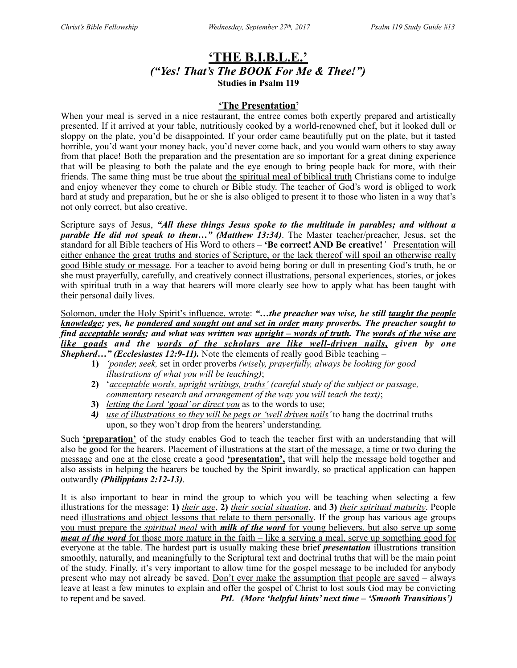## **'THE B.I.B.L.E.'** *("Yes! That's The BOOK For Me & Thee!")*  **Studies in Psalm 119**

### **'The Presentation'**

When your meal is served in a nice restaurant, the entree comes both expertly prepared and artistically presented. If it arrived at your table, nutritiously cooked by a world-renowned chef, but it looked dull or sloppy on the plate, you'd be disappointed. If your order came beautifully put on the plate, but it tasted horrible, you'd want your money back, you'd never come back, and you would warn others to stay away from that place! Both the preparation and the presentation are so important for a great dining experience that will be pleasing to both the palate and the eye enough to bring people back for more, with their friends. The same thing must be true about the spiritual meal of biblical truth Christians come to indulge and enjoy whenever they come to church or Bible study. The teacher of God's word is obliged to work hard at study and preparation, but he or she is also obliged to present it to those who listen in a way that's not only correct, but also creative.

Scripture says of Jesus, *"All these things Jesus spoke to the multitude in parables; and without a parable He did not speak to them…" (Matthew 13:34)*. The Master teacher/preacher, Jesus, set the standard for all Bible teachers of His Word to others – 'Be correct! AND Be creative!' Presentation will either enhance the great truths and stories of Scripture, or the lack thereof will spoil an otherwise really good Bible study or message. For a teacher to avoid being boring or dull in presenting God's truth, he or she must prayerfully, carefully, and creatively connect illustrations, personal experiences, stories, or jokes with spiritual truth in a way that hearers will more clearly see how to apply what has been taught with their personal daily lives.

Solomon, under the Holy Spirit's influence, wrote: "...the preacher was wise, he still taught the people *knowledge; yes, he pondered and sought out and set in order many proverbs. The preacher sought to find acceptable words; and what was written was upright – words of truth. The words of the wise are like goads and the words of the scholars are like well-driven nails, given by one Shepherd…" (Ecclesiastes 12:9-11).* Note the elements of really good Bible teaching –

- **1)** *'ponder, seek,* set in order proverbs *(wisely, prayerfully, always be looking for good illustrations of what you will be teaching)*;
- **2)** '*acceptable words, upright writings, truths' (careful study of the subject or passage, commentary research and arrangement of the way you will teach the text)*;
- **3)** *letting the Lord 'goad' or direct you* as to the words to use;
- **4***) use of illustrations so they will be pegs or 'well driven nails'* to hang the doctrinal truths upon, so they won't drop from the hearers' understanding.

Such **'preparation'** of the study enables God to teach the teacher first with an understanding that will also be good for the hearers. Placement of illustrations at the start of the message, a time or two during the message and one at the close create a good **'presentation',** that will help the message hold together and also assists in helping the hearers be touched by the Spirit inwardly, so practical application can happen outwardly *(Philippians 2:12-13)*.

It is also important to bear in mind the group to which you will be teaching when selecting a few illustrations for the message: **1)** *their age*, **2)** *their social situation*, and **3)** *their spiritual maturity*. People need illustrations and object lessons that relate to them personally. If the group has various age groups you must prepare the *spiritual meal* with *milk of the word* for young believers, but also serve up some *meat of the word* for those more mature in the faith – like a serving a meal, serve up something good for everyone at the table. The hardest part is usually making these brief *presentation* illustrations transition smoothly, naturally, and meaningfully to the Scriptural text and doctrinal truths that will be the main point of the study. Finally, it's very important to allow time for the gospel message to be included for anybody present who may not already be saved. Don't ever make the assumption that people are saved – always leave at least a few minutes to explain and offer the gospel of Christ to lost souls God may be convicting to repent and be saved. *PtL (More 'helpful hints' next time – 'Smooth Transitions')*